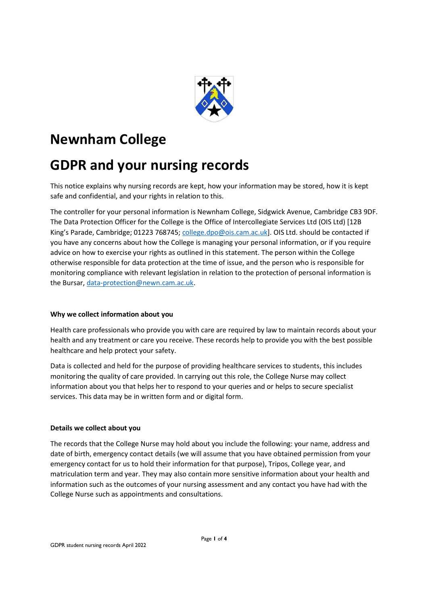

# Newnham College

# GDPR and your nursing records

This notice explains why nursing records are kept, how your information may be stored, how it is kept safe and confidential, and your rights in relation to this.

The controller for your personal information is Newnham College, Sidgwick Avenue, Cambridge CB3 9DF. The Data Protection Officer for the College is the Office of Intercollegiate Services Ltd (OIS Ltd) [12B King's Parade, Cambridge; 01223 768745; college.dpo@ois.cam.ac.uk]. OIS Ltd. should be contacted if you have any concerns about how the College is managing your personal information, or if you require advice on how to exercise your rights as outlined in this statement. The person within the College otherwise responsible for data protection at the time of issue, and the person who is responsible for monitoring compliance with relevant legislation in relation to the protection of personal information is the Bursar, data-protection@newn.cam.ac.uk.

## Why we collect information about you

Health care professionals who provide you with care are required by law to maintain records about your health and any treatment or care you receive. These records help to provide you with the best possible healthcare and help protect your safety.

Data is collected and held for the purpose of providing healthcare services to students, this includes monitoring the quality of care provided. In carrying out this role, the College Nurse may collect information about you that helps her to respond to your queries and or helps to secure specialist services. This data may be in written form and or digital form.

## Details we collect about you

The records that the College Nurse may hold about you include the following: your name, address and date of birth, emergency contact details (we will assume that you have obtained permission from your emergency contact for us to hold their information for that purpose), Tripos, College year, and matriculation term and year. They may also contain more sensitive information about your health and information such as the outcomes of your nursing assessment and any contact you have had with the College Nurse such as appointments and consultations.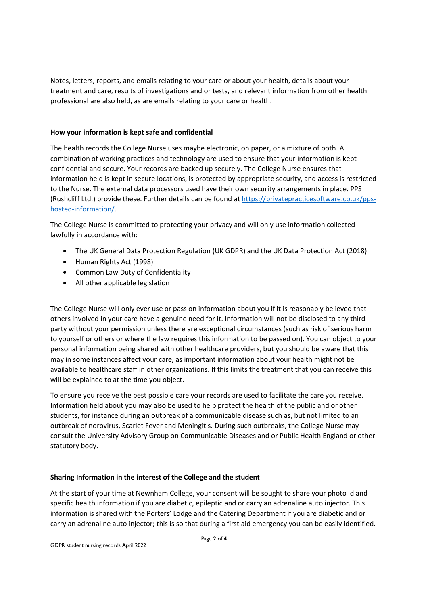Notes, letters, reports, and emails relating to your care or about your health, details about your treatment and care, results of investigations and or tests, and relevant information from other health professional are also held, as are emails relating to your care or health.

## How your information is kept safe and confidential

The health records the College Nurse uses maybe electronic, on paper, or a mixture of both. A combination of working practices and technology are used to ensure that your information is kept confidential and secure. Your records are backed up securely. The College Nurse ensures that information held is kept in secure locations, is protected by appropriate security, and access is restricted to the Nurse. The external data processors used have their own security arrangements in place. PPS (Rushcliff Ltd.) provide these. Further details can be found at https://privatepracticesoftware.co.uk/ppshosted-information/.

The College Nurse is committed to protecting your privacy and will only use information collected lawfully in accordance with:

- The UK General Data Protection Regulation (UK GDPR) and the UK Data Protection Act (2018)
- Human Rights Act (1998)
- Common Law Duty of Confidentiality
- All other applicable legislation

The College Nurse will only ever use or pass on information about you if it is reasonably believed that others involved in your care have a genuine need for it. Information will not be disclosed to any third party without your permission unless there are exceptional circumstances (such as risk of serious harm to yourself or others or where the law requires this information to be passed on). You can object to your personal information being shared with other healthcare providers, but you should be aware that this may in some instances affect your care, as important information about your health might not be available to healthcare staff in other organizations. If this limits the treatment that you can receive this will be explained to at the time you object.

To ensure you receive the best possible care your records are used to facilitate the care you receive. Information held about you may also be used to help protect the health of the public and or other students, for instance during an outbreak of a communicable disease such as, but not limited to an outbreak of norovirus, Scarlet Fever and Meningitis. During such outbreaks, the College Nurse may consult the University Advisory Group on Communicable Diseases and or Public Health England or other statutory body.

## Sharing Information in the interest of the College and the student

At the start of your time at Newnham College, your consent will be sought to share your photo id and specific health information if you are diabetic, epileptic and or carry an adrenaline auto injector. This information is shared with the Porters' Lodge and the Catering Department if you are diabetic and or carry an adrenaline auto injector; this is so that during a first aid emergency you can be easily identified.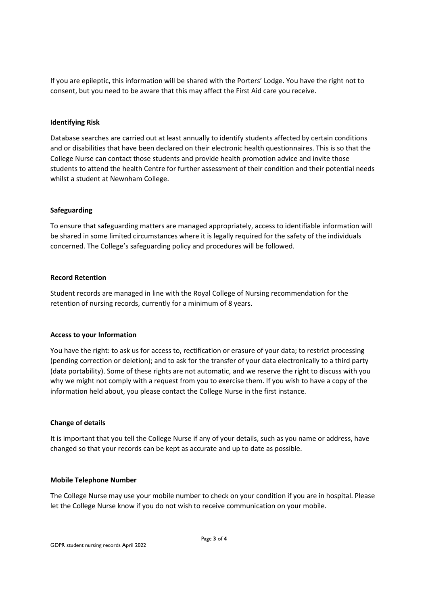If you are epileptic, this information will be shared with the Porters' Lodge. You have the right not to consent, but you need to be aware that this may affect the First Aid care you receive.

### Identifying Risk

Database searches are carried out at least annually to identify students affected by certain conditions and or disabilities that have been declared on their electronic health questionnaires. This is so that the College Nurse can contact those students and provide health promotion advice and invite those students to attend the health Centre for further assessment of their condition and their potential needs whilst a student at Newnham College.

#### Safeguarding

To ensure that safeguarding matters are managed appropriately, access to identifiable information will be shared in some limited circumstances where it is legally required for the safety of the individuals concerned. The College's safeguarding policy and procedures will be followed.

#### Record Retention

Student records are managed in line with the Royal College of Nursing recommendation for the retention of nursing records, currently for a minimum of 8 years.

#### Access to your Information

You have the right: to ask us for access to, rectification or erasure of your data; to restrict processing (pending correction or deletion); and to ask for the transfer of your data electronically to a third party (data portability). Some of these rights are not automatic, and we reserve the right to discuss with you why we might not comply with a request from you to exercise them. If you wish to have a copy of the information held about, you please contact the College Nurse in the first instance.

## Change of details

It is important that you tell the College Nurse if any of your details, such as you name or address, have changed so that your records can be kept as accurate and up to date as possible.

#### Mobile Telephone Number

The College Nurse may use your mobile number to check on your condition if you are in hospital. Please let the College Nurse know if you do not wish to receive communication on your mobile.